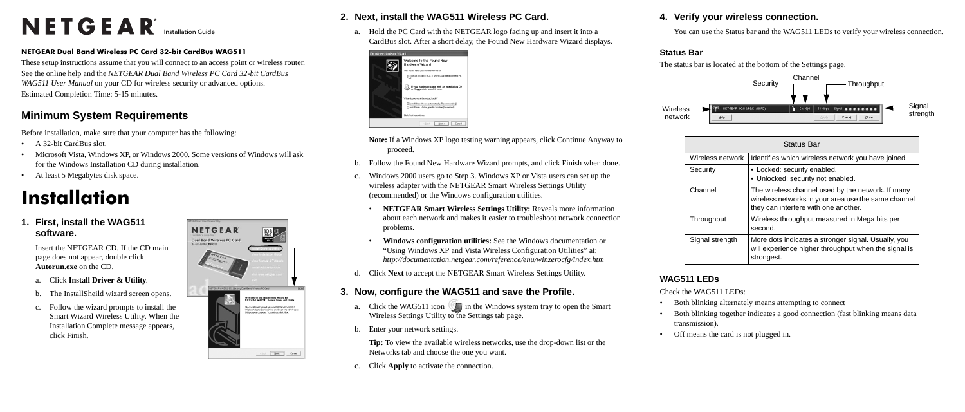# NETGEAR<sup>®</sup> Installation Guide

#### **NETGEAR Dual Band Wireless PC Card 32-bit CardBus WAG511**

These setup instructions assume that you will connect to an access point or wireless router. See the online help and the *NETGEAR Dual Band Wireless PC Card 32-bit CardBus WAG511 User Manual* on your CD for wireless security or advanced options. Estimated Completion Time: 5-15 minutes.

- A 32-bit CardBus slot.
- Microsoft Vista, Windows XP, or Windows 2000. Some versions of Windows will ask for the Windows Installation CD during installation.
- At least 5 Megabytes disk space.

### **Minimum System Requirements**

Before installation, make sure that your computer has the following:

## **Installation**

**1. First, install the WAG511 software.**

> Insert the NETGEAR CD. If the CD main page does not appear, double click **Autorun.exe** on the CD.

- a. Click **Install Driver & Utility**.
- b. The InstallSheild wizard screen opens.
- c. Follow the wizard prompts to install the Smart Wizard Wireless Utility. When the Installation Complete message appears, click Finish.



### **2. Next, install the WAG511 Wireless PC Card.**

- a. Click the WAG511 icon  $\Box$  in the Windows system tray to open the Smart Wireless Settings Utility to the Settings tab page.
- b. Enter your network settings.

a. Hold the PC Card with the NETGEAR logo facing up and insert it into a CardBus slot. After a short delay, the Found New Hardware Wizard displays.





- **Note:** If a Windows XP logo testing warning appears, click Continue Anyway to proceed.
- b. Follow the Found New Hardware Wizard prompts, and click Finish when done.
- c. Windows 2000 users go to Step 3. Windows XP or Vista users can set up the wireless adapter with the NETGEAR Smart Wireless Settings Utility (recommended) or the Windows configuration utilities.
	- **NETGEAR Smart Wireless Settings Utility:** Reveals more information about each network and makes it easier to troubleshoot network connection problems.
	- **Windows configuration utilities:** See the Windows documentation or "Using Windows XP and Vista Wireless Configuration Utilities" at: *http://documentation.netgear.com/reference/enu/winzerocfg/index.htm*
- d. Click **Next** to accept the NETGEAR Smart Wireless Settings Utility.

**Wireless** network

### **3. Now, configure the WAG511 and save the Profile.**

**Tip:** To view the available wireless networks, use the drop-down list or the Networks tab and choose the one you want.

c. Click **Apply** to activate the connection.

#### **4. Verify your wireless connection.**

You can use the Status bar and the WAG511 LEDs to verify your wireless connection.

## **Status Bar**



The status bar is located at the bottom of the Settings page.

- 
- **WAG511 LEDs**

#### Check the WAG511 LEDs:

• Both blinking alternately means attempting to connect

• Both blinking together indicates a good connection (fast blinking means data

- 
- transmission).
- 

• Off means the card is not plugged in.

| <b>Status Bar</b> |                                                                                                                                                  |
|-------------------|--------------------------------------------------------------------------------------------------------------------------------------------------|
| Wireless network  | Identifies which wireless network you have joined.                                                                                               |
| Security          | • Locked: security enabled.<br>• Unlocked: security not enabled.                                                                                 |
| Channel           | The wireless channel used by the network. If many<br>wireless networks in your area use the same channel<br>they can interfere with one another. |
| Throughput        | Wireless throughput measured in Mega bits per<br>second.                                                                                         |
| Signal strength   | More dots indicates a stronger signal. Usually, you<br>will experience higher throughput when the signal is<br>strongest.                        |